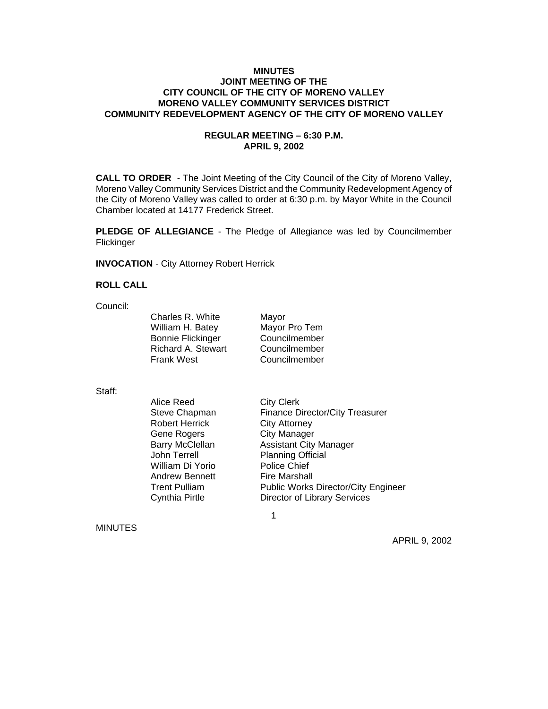### **MINUTES JOINT MEETING OF THE CITY COUNCIL OF THE CITY OF MORENO VALLEY MORENO VALLEY COMMUNITY SERVICES DISTRICT COMMUNITY REDEVELOPMENT AGENCY OF THE CITY OF MORENO VALLEY**

### **REGULAR MEETING – 6:30 P.M. APRIL 9, 2002**

**CALL TO ORDER** - The Joint Meeting of the City Council of the City of Moreno Valley, Moreno Valley Community Services District and the Community Redevelopment Agency of the City of Moreno Valley was called to order at 6:30 p.m. by Mayor White in the Council Chamber located at 14177 Frederick Street.

**PLEDGE OF ALLEGIANCE** - The Pledge of Allegiance was led by Councilmember Flickinger

**INVOCATION** - City Attorney Robert Herrick

#### **ROLL CALL**

Council:

Charles R. White Mayor William H. Batey Mayor Pro Tem Bonnie Flickinger Councilmember Richard A. Stewart Councilmember Frank West Councilmember

Staff:

Alice Reed City Clerk Robert Herrick City Attorney Gene Rogers City Manager Barry McClellan **Assistant City Manager** John Terrell Planning Official William Di Yorio Police Chief Andrew Bennett Fire Marshall

 $\sim$  1

Steve Chapman Finance Director/City Treasurer Trent Pulliam **Public Works Director/City Engineer** Cynthia Pirtle Director of Library Services

MINUTES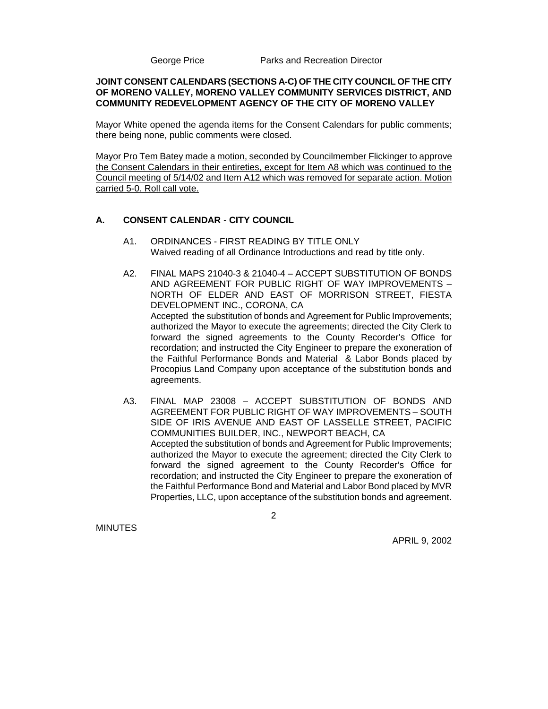George Price **Parks and Recreation Director** 

### **JOINT CONSENT CALENDARS (SECTIONS A-C) OF THE CITY COUNCIL OF THE CITY OF MORENO VALLEY, MORENO VALLEY COMMUNITY SERVICES DISTRICT, AND COMMUNITY REDEVELOPMENT AGENCY OF THE CITY OF MORENO VALLEY**

Mayor White opened the agenda items for the Consent Calendars for public comments; there being none, public comments were closed.

Mayor Pro Tem Batey made a motion, seconded by Councilmember Flickinger to approve the Consent Calendars in their entireties, except for Item A8 which was continued to the Council meeting of 5/14/02 and Item A12 which was removed for separate action. Motion carried 5-0. Roll call vote.

# **A. CONSENT CALENDAR** - **CITY COUNCIL**

2

- A1. ORDINANCES FIRST READING BY TITLE ONLY Waived reading of all Ordinance Introductions and read by title only.
- A2. FINAL MAPS 21040-3 & 21040-4 ACCEPT SUBSTITUTION OF BONDS AND AGREEMENT FOR PUBLIC RIGHT OF WAY IMPROVEMENTS – NORTH OF ELDER AND EAST OF MORRISON STREET, FIESTA DEVELOPMENT INC., CORONA, CA Accepted the substitution of bonds and Agreement for Public Improvements; authorized the Mayor to execute the agreements; directed the City Clerk to forward the signed agreements to the County Recorder's Office for recordation; and instructed the City Engineer to prepare the exoneration of the Faithful Performance Bonds and Material & Labor Bonds placed by Procopius Land Company upon acceptance of the substitution bonds and agreements.
- A3. FINAL MAP 23008 ACCEPT SUBSTITUTION OF BONDS AND AGREEMENT FOR PUBLIC RIGHT OF WAY IMPROVEMENTS – SOUTH SIDE OF IRIS AVENUE AND EAST OF LASSELLE STREET, PACIFIC COMMUNITIES BUILDER, INC., NEWPORT BEACH, CA Accepted the substitution of bonds and Agreement for Public Improvements; authorized the Mayor to execute the agreement; directed the City Clerk to forward the signed agreement to the County Recorder's Office for recordation; and instructed the City Engineer to prepare the exoneration of the Faithful Performance Bond and Material and Labor Bond placed by MVR Properties, LLC, upon acceptance of the substitution bonds and agreement.

**MINUTES**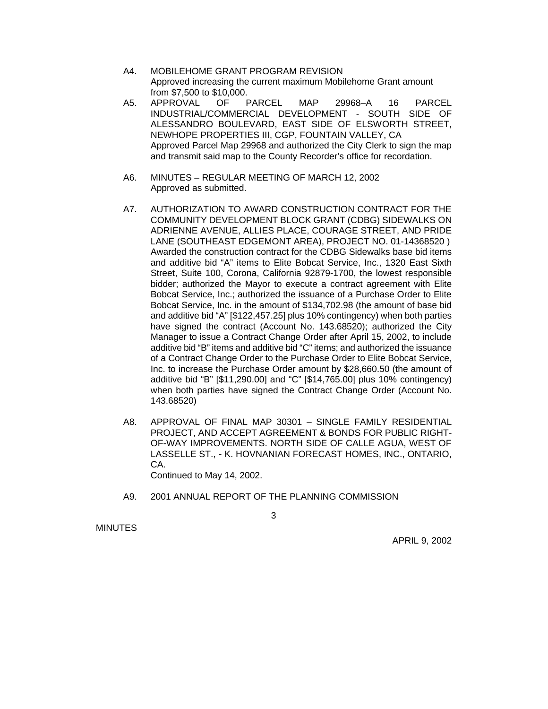- A4. MOBILEHOME GRANT PROGRAM REVISION Approved increasing the current maximum Mobilehome Grant amount from \$7,500 to \$10,000.
- A5. APPROVAL OF PARCEL MAP 29968–A 16 PARCEL INDUSTRIAL/COMMERCIAL DEVELOPMENT - SOUTH SIDE OF ALESSANDRO BOULEVARD, EAST SIDE OF ELSWORTH STREET, NEWHOPE PROPERTIES III, CGP, FOUNTAIN VALLEY, CA Approved Parcel Map 29968 and authorized the City Clerk to sign the map and transmit said map to the County Recorder's office for recordation.
- A6. MINUTES REGULAR MEETING OF MARCH 12, 2002 Approved as submitted.
- A7. AUTHORIZATION TO AWARD CONSTRUCTION CONTRACT FOR THE COMMUNITY DEVELOPMENT BLOCK GRANT (CDBG) SIDEWALKS ON ADRIENNE AVENUE, ALLIES PLACE, COURAGE STREET, AND PRIDE LANE (SOUTHEAST EDGEMONT AREA), PROJECT NO. 01-14368520 ) Awarded the construction contract for the CDBG Sidewalks base bid items and additive bid "A" items to Elite Bobcat Service, Inc., 1320 East Sixth Street, Suite 100, Corona, California 92879-1700, the lowest responsible bidder; authorized the Mayor to execute a contract agreement with Elite Bobcat Service, Inc.; authorized the issuance of a Purchase Order to Elite Bobcat Service, Inc. in the amount of \$134,702.98 (the amount of base bid and additive bid "A" [\$122,457.25] plus 10% contingency) when both parties have signed the contract (Account No. 143.68520); authorized the City Manager to issue a Contract Change Order after April 15, 2002, to include additive bid "B" items and additive bid "C" items; and authorized the issuance of a Contract Change Order to the Purchase Order to Elite Bobcat Service, Inc. to increase the Purchase Order amount by \$28,660.50 (the amount of additive bid "B" [\$11,290.00] and "C" [\$14,765.00] plus 10% contingency) when both parties have signed the Contract Change Order (Account No. 143.68520)
- A8. APPROVAL OF FINAL MAP 30301 SINGLE FAMILY RESIDENTIAL PROJECT, AND ACCEPT AGREEMENT & BONDS FOR PUBLIC RIGHT-OF-WAY IMPROVEMENTS. NORTH SIDE OF CALLE AGUA, WEST OF LASSELLE ST., - K. HOVNANIAN FORECAST HOMES, INC., ONTARIO, CA. Continued to May 14, 2002.

A9. 2001 ANNUAL REPORT OF THE PLANNING COMMISSION

3

MINUTES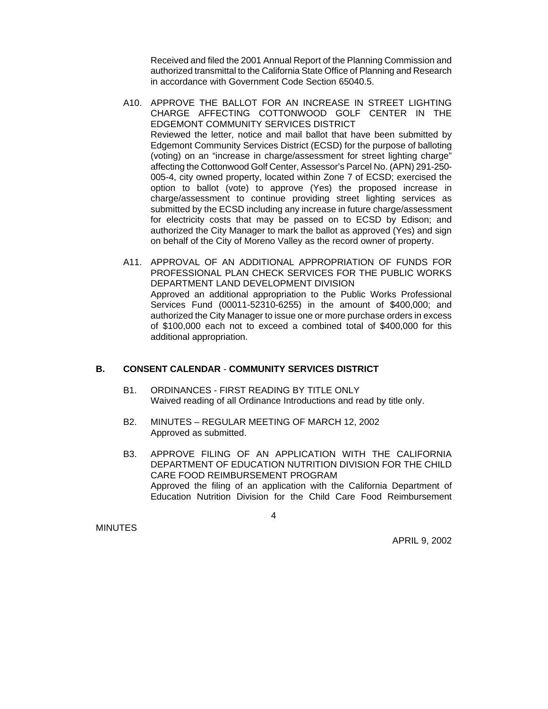Received and filed the 2001 Annual Report of the Planning Commission and authorized transmittal to the California State Office of Planning and Research in accordance with Government Code Section 65040.5.

- A10. APPROVE THE BALLOT FOR AN INCREASE IN STREET LIGHTING CHARGE AFFECTING COTTONWOOD GOLF CENTER IN THE EDGEMONT COMMUNITY SERVICES DISTRICT Reviewed the letter, notice and mail ballot that have been submitted by Edgemont Community Services District (ECSD) for the purpose of balloting (voting) on an "increase in charge/assessment for street lighting charge" affecting the Cottonwood Golf Center, Assessor's Parcel No. (APN) 291-250- 005-4, city owned property, located within Zone 7 of ECSD; exercised the option to ballot (vote) to approve (Yes) the proposed increase in charge/assessment to continue providing street lighting services as submitted by the ECSD including any increase in future charge/assessment for electricity costs that may be passed on to ECSD by Edison; and authorized the City Manager to mark the ballot as approved (Yes) and sign on behalf of the City of Moreno Valley as the record owner of property.
- A11. APPROVAL OF AN ADDITIONAL APPROPRIATION OF FUNDS FOR PROFESSIONAL PLAN CHECK SERVICES FOR THE PUBLIC WORKS DEPARTMENT LAND DEVELOPMENT DIVISION Approved an additional appropriation to the Public Works Professional Services Fund (00011-52310-6255) in the amount of \$400,000; and authorized the City Manager to issue one or more purchase orders in excess of \$100,000 each not to exceed a combined total of \$400,000 for this additional appropriation.

# **B. CONSENT CALENDAR** - **COMMUNITY SERVICES DISTRICT**

- B1. ORDINANCES FIRST READING BY TITLE ONLY Waived reading of all Ordinance Introductions and read by title only.
- B2. MINUTES REGULAR MEETING OF MARCH 12, 2002 Approved as submitted.
- B3. APPROVE FILING OF AN APPLICATION WITH THE CALIFORNIA DEPARTMENT OF EDUCATION NUTRITION DIVISION FOR THE CHILD CARE FOOD REIMBURSEMENT PROGRAM Approved the filing of an application with the California Department of Education Nutrition Division for the Child Care Food Reimbursement

**MINUTES** 

4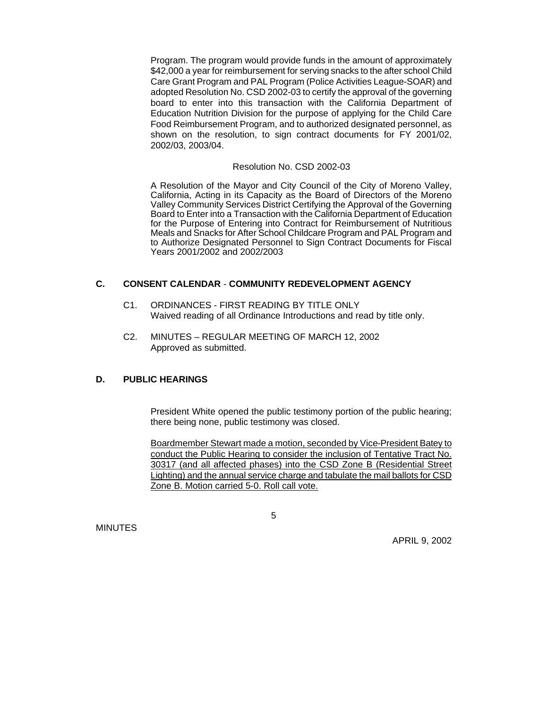Program. The program would provide funds in the amount of approximately \$42,000 a year for reimbursement for serving snacks to the after school Child Care Grant Program and PAL Program (Police Activities League-SOAR) and adopted Resolution No. CSD 2002-03 to certify the approval of the governing board to enter into this transaction with the California Department of Education Nutrition Division for the purpose of applying for the Child Care Food Reimbursement Program, and to authorized designated personnel, as shown on the resolution, to sign contract documents for FY 2001/02, 2002/03, 2003/04.

### Resolution No. CSD 2002-03

A Resolution of the Mayor and City Council of the City of Moreno Valley, California, Acting in its Capacity as the Board of Directors of the Moreno Valley Community Services District Certifying the Approval of the Governing Board to Enter into a Transaction with the California Department of Education for the Purpose of Entering into Contract for Reimbursement of Nutritious Meals and Snacks for After School Childcare Program and PAL Program and to Authorize Designated Personnel to Sign Contract Documents for Fiscal Years 2001/2002 and 2002/2003

# **C. CONSENT CALENDAR** - **COMMUNITY REDEVELOPMENT AGENCY**

- C1. ORDINANCES FIRST READING BY TITLE ONLY Waived reading of all Ordinance Introductions and read by title only.
- C2. MINUTES REGULAR MEETING OF MARCH 12, 2002 Approved as submitted.

# **D. PUBLIC HEARINGS**

 $\sim$  5

President White opened the public testimony portion of the public hearing; there being none, public testimony was closed.

Boardmember Stewart made a motion, seconded by Vice-President Batey to conduct the Public Hearing to consider the inclusion of Tentative Tract No. 30317 (and all affected phases) into the CSD Zone B (Residential Street Lighting) and the annual service charge and tabulate the mail ballots for CSD Zone B. Motion carried 5-0. Roll call vote.

MINUTES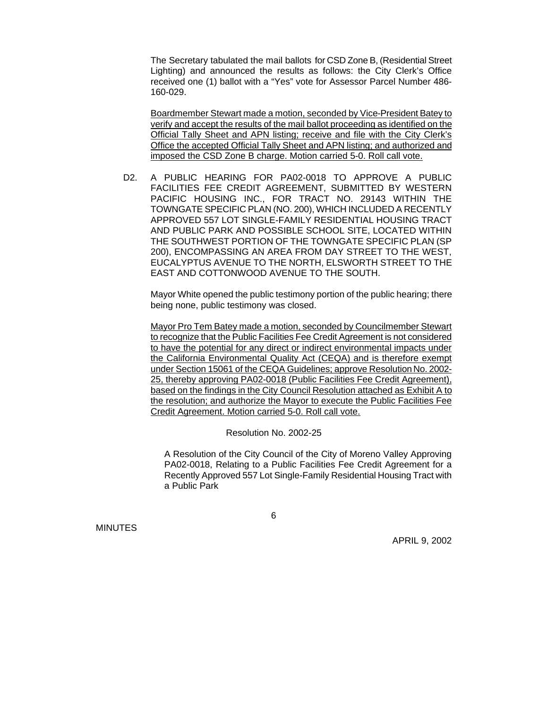The Secretary tabulated the mail ballots for CSD Zone B, (Residential Street Lighting) and announced the results as follows: the City Clerk's Office received one (1) ballot with a "Yes" vote for Assessor Parcel Number 486- 160-029.

Boardmember Stewart made a motion, seconded by Vice-President Batey to verify and accept the results of the mail ballot proceeding as identified on the Official Tally Sheet and APN listing; receive and file with the City Clerk's Office the accepted Official Tally Sheet and APN listing; and authorized and imposed the CSD Zone B charge. Motion carried 5-0. Roll call vote.

D2. A PUBLIC HEARING FOR PA02-0018 TO APPROVE A PUBLIC FACILITIES FEE CREDIT AGREEMENT, SUBMITTED BY WESTERN PACIFIC HOUSING INC., FOR TRACT NO. 29143 WITHIN THE TOWNGATE SPECIFIC PLAN (NO. 200), WHICH INCLUDED A RECENTLY APPROVED 557 LOT SINGLE-FAMILY RESIDENTIAL HOUSING TRACT AND PUBLIC PARK AND POSSIBLE SCHOOL SITE, LOCATED WITHIN THE SOUTHWEST PORTION OF THE TOWNGATE SPECIFIC PLAN (SP 200), ENCOMPASSING AN AREA FROM DAY STREET TO THE WEST, EUCALYPTUS AVENUE TO THE NORTH, ELSWORTH STREET TO THE EAST AND COTTONWOOD AVENUE TO THE SOUTH.

Mayor White opened the public testimony portion of the public hearing; there being none, public testimony was closed.

Mayor Pro Tem Batey made a motion, seconded by Councilmember Stewart to recognize that the Public Facilities Fee Credit Agreement is not considered to have the potential for any direct or indirect environmental impacts under the California Environmental Quality Act (CEQA) and is therefore exempt under Section 15061 of the CEQA Guidelines; approve Resolution No. 2002- 25, thereby approving PA02-0018 (Public Facilities Fee Credit Agreement), based on the findings in the City Council Resolution attached as Exhibit A to the resolution; and authorize the Mayor to execute the Public Facilities Fee Credit Agreement. Motion carried 5-0. Roll call vote.

Resolution No. 2002-25

A Resolution of the City Council of the City of Moreno Valley Approving PA02-0018, Relating to a Public Facilities Fee Credit Agreement for a Recently Approved 557 Lot Single-Family Residential Housing Tract with a Public Park

MINUTES

 $\overline{6}$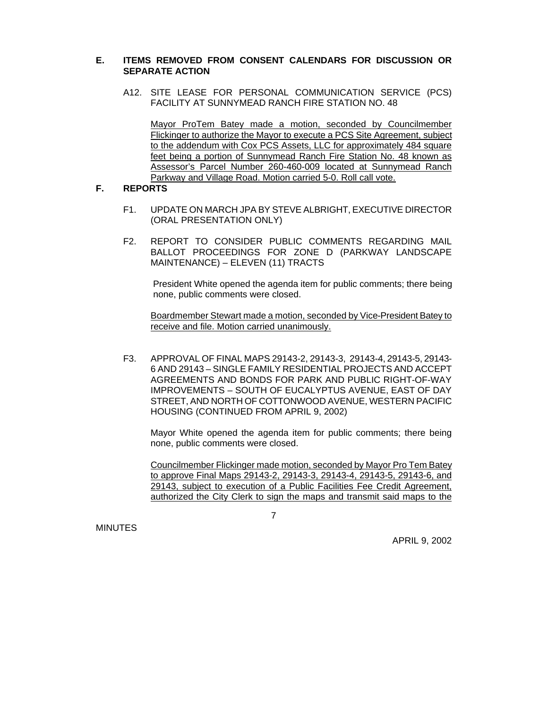## **E. ITEMS REMOVED FROM CONSENT CALENDARS FOR DISCUSSION OR SEPARATE ACTION**

A12. SITE LEASE FOR PERSONAL COMMUNICATION SERVICE (PCS) FACILITY AT SUNNYMEAD RANCH FIRE STATION NO. 48

Mayor ProTem Batey made a motion, seconded by Councilmember Flickinger to authorize the Mayor to execute a PCS Site Agreement, subject to the addendum with Cox PCS Assets, LLC for approximately 484 square feet being a portion of Sunnymead Ranch Fire Station No. 48 known as Assessor's Parcel Number 260-460-009 located at Sunnymead Ranch Parkway and Village Road. Motion carried 5-0. Roll call vote.

### **F. REPORTS**

- F1. UPDATE ON MARCH JPA BY STEVE ALBRIGHT, EXECUTIVE DIRECTOR (ORAL PRESENTATION ONLY)
- F2. REPORT TO CONSIDER PUBLIC COMMENTS REGARDING MAIL BALLOT PROCEEDINGS FOR ZONE D (PARKWAY LANDSCAPE MAINTENANCE) – ELEVEN (11) TRACTS

 President White opened the agenda item for public comments; there being none, public comments were closed.

Boardmember Stewart made a motion, seconded by Vice-President Batey to receive and file. Motion carried unanimously.

F3. APPROVAL OF FINAL MAPS 29143-2, 29143-3, 29143-4, 29143-5, 29143- 6 AND 29143 – SINGLE FAMILY RESIDENTIAL PROJECTS AND ACCEPT AGREEMENTS AND BONDS FOR PARK AND PUBLIC RIGHT-OF-WAY IMPROVEMENTS – SOUTH OF EUCALYPTUS AVENUE, EAST OF DAY STREET, AND NORTH OF COTTONWOOD AVENUE, WESTERN PACIFIC HOUSING (CONTINUED FROM APRIL 9, 2002)

Mayor White opened the agenda item for public comments; there being none, public comments were closed.

Councilmember Flickinger made motion, seconded by Mayor Pro Tem Batey to approve Final Maps 29143-2, 29143-3, 29143-4, 29143-5, 29143-6, and 29143, subject to execution of a Public Facilities Fee Credit Agreement, authorized the City Clerk to sign the maps and transmit said maps to the

**MINUTES** 

7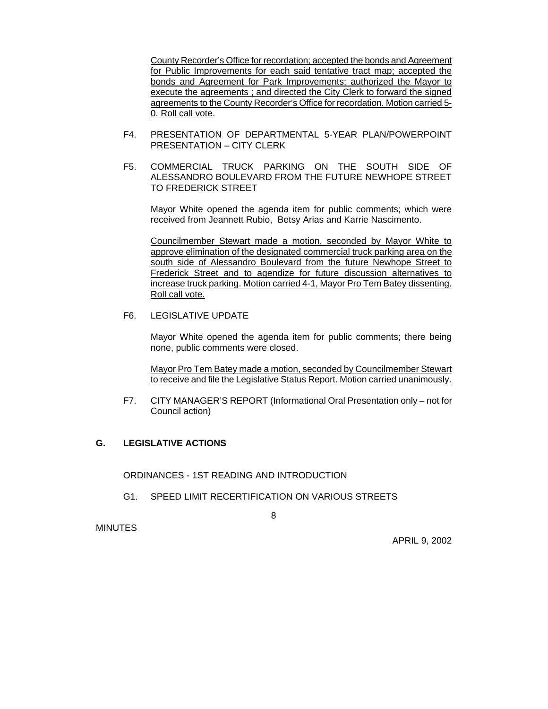County Recorder's Office for recordation; accepted the bonds and Agreement for Public Improvements for each said tentative tract map; accepted the bonds and Agreement for Park Improvements; authorized the Mayor to execute the agreements ; and directed the City Clerk to forward the signed agreements to the County Recorder's Office for recordation. Motion carried 5- 0. Roll call vote.

- F4. PRESENTATION OF DEPARTMENTAL 5-YEAR PLAN/POWERPOINT PRESENTATION – CITY CLERK
- F5. COMMERCIAL TRUCK PARKING ON THE SOUTH SIDE OF ALESSANDRO BOULEVARD FROM THE FUTURE NEWHOPE STREET TO FREDERICK STREET

Mayor White opened the agenda item for public comments; which were received from Jeannett Rubio, Betsy Arias and Karrie Nascimento.

Councilmember Stewart made a motion, seconded by Mayor White to approve elimination of the designated commercial truck parking area on the south side of Alessandro Boulevard from the future Newhope Street to Frederick Street and to agendize for future discussion alternatives to increase truck parking. Motion carried 4-1, Mayor Pro Tem Batey dissenting. Roll call vote.

# F6. LEGISLATIVE UPDATE

Mayor White opened the agenda item for public comments; there being none, public comments were closed.

Mayor Pro Tem Batey made a motion, seconded by Councilmember Stewart to receive and file the Legislative Status Report. Motion carried unanimously.

F7. CITY MANAGER'S REPORT (Informational Oral Presentation only – not for Council action)

# **G. LEGISLATIVE ACTIONS**

ORDINANCES - 1ST READING AND INTRODUCTION

G1. SPEED LIMIT RECERTIFICATION ON VARIOUS STREETS

8

**MINUTES**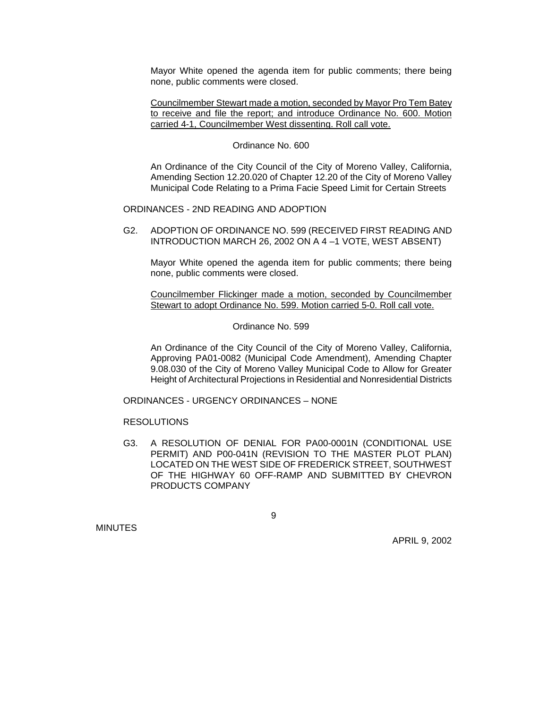Mayor White opened the agenda item for public comments; there being none, public comments were closed.

Councilmember Stewart made a motion, seconded by Mayor Pro Tem Batey to receive and file the report; and introduce Ordinance No. 600. Motion carried 4-1, Councilmember West dissenting. Roll call vote.

#### Ordinance No. 600

An Ordinance of the City Council of the City of Moreno Valley, California, Amending Section 12.20.020 of Chapter 12.20 of the City of Moreno Valley Municipal Code Relating to a Prima Facie Speed Limit for Certain Streets

ORDINANCES - 2ND READING AND ADOPTION

G2. ADOPTION OF ORDINANCE NO. 599 (RECEIVED FIRST READING AND INTRODUCTION MARCH 26, 2002 ON A 4 –1 VOTE, WEST ABSENT)

Mayor White opened the agenda item for public comments; there being none, public comments were closed.

Councilmember Flickinger made a motion, seconded by Councilmember Stewart to adopt Ordinance No. 599. Motion carried 5-0. Roll call vote.

#### Ordinance No. 599

An Ordinance of the City Council of the City of Moreno Valley, California, Approving PA01-0082 (Municipal Code Amendment), Amending Chapter 9.08.030 of the City of Moreno Valley Municipal Code to Allow for Greater Height of Architectural Projections in Residential and Nonresidential Districts

ORDINANCES - URGENCY ORDINANCES – NONE

### RESOLUTIONS

9

G3. A RESOLUTION OF DENIAL FOR PA00-0001N (CONDITIONAL USE PERMIT) AND P00-041N (REVISION TO THE MASTER PLOT PLAN) LOCATED ON THE WEST SIDE OF FREDERICK STREET, SOUTHWEST OF THE HIGHWAY 60 OFF-RAMP AND SUBMITTED BY CHEVRON PRODUCTS COMPANY

**MINUTES**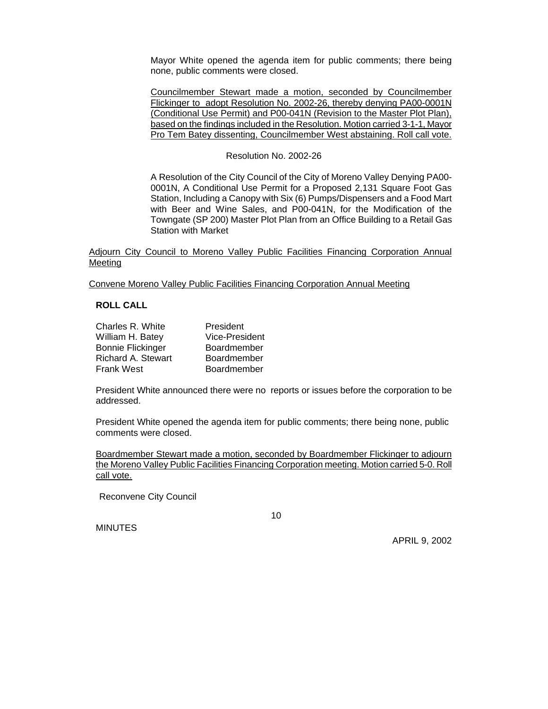Mayor White opened the agenda item for public comments; there being none, public comments were closed.

Councilmember Stewart made a motion, seconded by Councilmember Flickinger to adopt Resolution No. 2002-26, thereby denying PA00-0001N (Conditional Use Permit) and P00-041N (Revision to the Master Plot Plan), based on the findings included in the Resolution. Motion carried 3-1-1, Mayor Pro Tem Batey dissenting, Councilmember West abstaining. Roll call vote.

### Resolution No. 2002-26

A Resolution of the City Council of the City of Moreno Valley Denying PA00- 0001N, A Conditional Use Permit for a Proposed 2,131 Square Foot Gas Station, Including a Canopy with Six (6) Pumps/Dispensers and a Food Mart with Beer and Wine Sales, and P00-041N, for the Modification of the Towngate (SP 200) Master Plot Plan from an Office Building to a Retail Gas Station with Market

Adjourn City Council to Moreno Valley Public Facilities Financing Corporation Annual Meeting

Convene Moreno Valley Public Facilities Financing Corporation Annual Meeting

### **ROLL CALL**

| Charles R. White          | President             |
|---------------------------|-----------------------|
| William H. Batey          | <b>Vice-President</b> |
| <b>Bonnie Flickinger</b>  | Boardmember           |
| <b>Richard A. Stewart</b> | Boardmember           |
| <b>Frank West</b>         | Boardmember           |

President White announced there were no reports or issues before the corporation to be addressed.

President White opened the agenda item for public comments; there being none, public comments were closed.

Boardmember Stewart made a motion, seconded by Boardmember Flickinger to adjourn the Moreno Valley Public Facilities Financing Corporation meeting. Motion carried 5-0. Roll call vote.

Reconvene City Council

<u>10</u>

MINUTES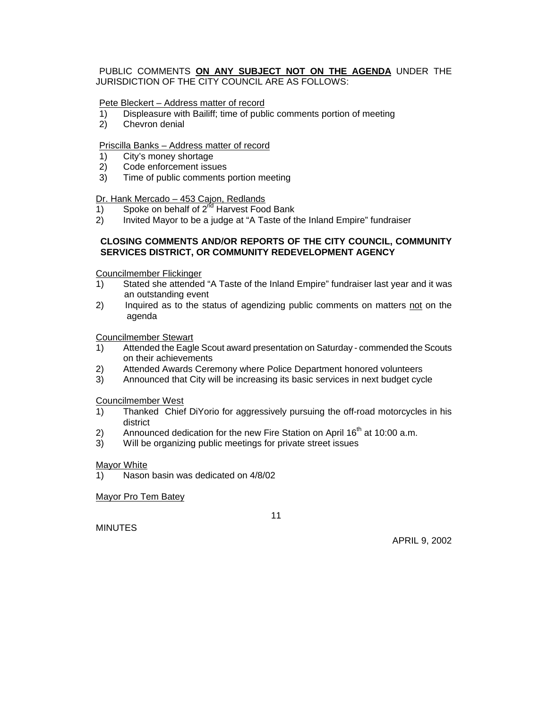### PUBLIC COMMENTS **ON ANY SUBJECT NOT ON THE AGENDA** UNDER THE JURISDICTION OF THE CITY COUNCIL ARE AS FOLLOWS:

## Pete Bleckert – Address matter of record

- 1) Displeasure with Bailiff; time of public comments portion of meeting
- 2) Chevron denial

### Priscilla Banks – Address matter of record

- 1) City's money shortage
- 2) Code enforcement issues
- 3) Time of public comments portion meeting

#### Dr. Hank Mercado - 453 Cajon, Redlands

- 1) Spoke on behalf of  $2^{nd}$  Harvest Food Bank
- 2) Invited Mayor to be a judge at "A Taste of the Inland Empire" fundraiser

### **CLOSING COMMENTS AND/OR REPORTS OF THE CITY COUNCIL, COMMUNITY SERVICES DISTRICT, OR COMMUNITY REDEVELOPMENT AGENCY**

Councilmember Flickinger

- 1) Stated she attended "A Taste of the Inland Empire" fundraiser last year and it was an outstanding event
- 2) Inquired as to the status of agendizing public comments on matters not on the agenda

#### Councilmember Stewart

- 1) Attended the Eagle Scout award presentation on Saturday commended the Scouts on their achievements
- 2) Attended Awards Ceremony where Police Department honored volunteers
- 3) Announced that City will be increasing its basic services in next budget cycle

Councilmember West

- 1) Thanked Chief DiYorio for aggressively pursuing the off-road motorcycles in his district
- 2) Announced dedication for the new Fire Station on April  $16<sup>th</sup>$  at 10:00 a.m.
- 3) Will be organizing public meetings for private street issues

#### Mayor White

1) Nason basin was dedicated on 4/8/02

Mayor Pro Tem Batey

 $11$ 

MINUTES